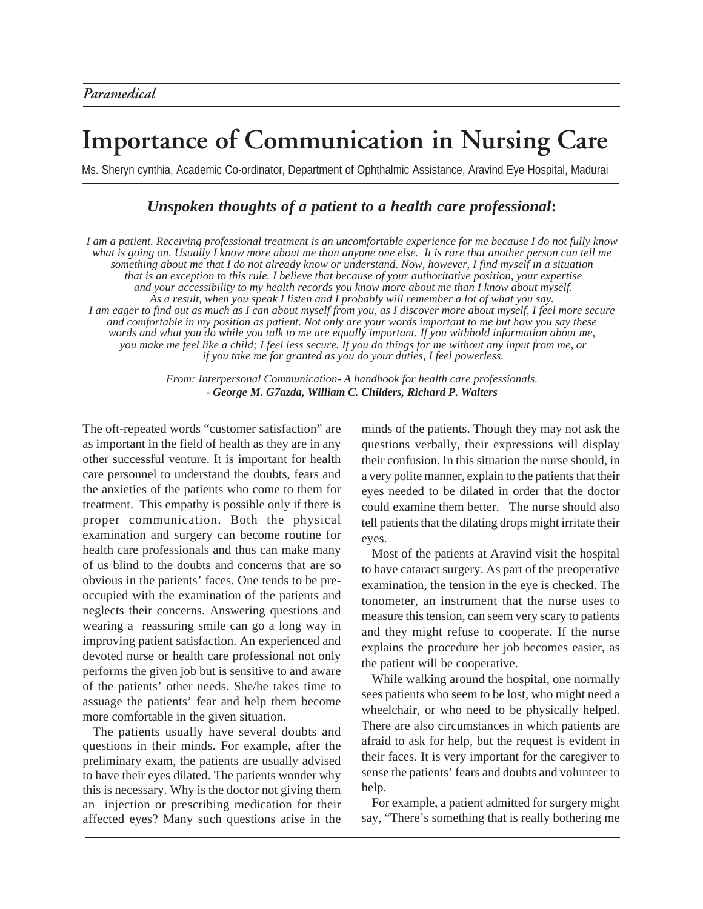## **Importance of Communication in Nursing Care**

Ms. Sheryn cynthia, Academic Co-ordinator, Department of Ophthalmic Assistance, Aravind Eye Hospital, Madurai

## *Unspoken thoughts of a patient to a health care professional***:**

*I am a patient. Receiving professional treatment is an uncomfortable experience for me because I do not fully know what is going on. Usually I know more about me than anyone one else. It is rare that another person can tell me something about me that I do not already know or understand. Now, however, I find myself in a situation that is an exception to this rule. I believe that because of your authoritative position, your expertise and your accessibility to my health records you know more about me than I know about myself. As a result, when you speak I listen and I probably will remember a lot of what you say. I am eager to find out as much as I can about myself from you, as I discover more about myself, I feel more secure and comfortable in my position as patient. Not only are your words important to me but how you say these words and what you do while you talk to me are equally important. If you withhold information about me, you make me feel like a child; I feel less secure. If you do things for me without any input from me, or if you take me for granted as you do your duties, I feel powerless.*

> *From: Interpersonal Communication- A handbook for health care professionals. - George M. G7azda, William C. Childers, Richard P. Walters*

The oft-repeated words "customer satisfaction" are as important in the field of health as they are in any other successful venture. It is important for health care personnel to understand the doubts, fears and the anxieties of the patients who come to them for treatment. This empathy is possible only if there is proper communication. Both the physical examination and surgery can become routine for health care professionals and thus can make many of us blind to the doubts and concerns that are so obvious in the patients' faces. One tends to be preoccupied with the examination of the patients and neglects their concerns. Answering questions and wearing a reassuring smile can go a long way in improving patient satisfaction. An experienced and devoted nurse or health care professional not only performs the given job but is sensitive to and aware of the patients' other needs. She/he takes time to assuage the patients' fear and help them become more comfortable in the given situation.

The patients usually have several doubts and questions in their minds. For example, after the preliminary exam, the patients are usually advised to have their eyes dilated. The patients wonder why this is necessary. Why is the doctor not giving them an injection or prescribing medication for their affected eyes? Many such questions arise in the

minds of the patients. Though they may not ask the questions verbally, their expressions will display their confusion. In this situation the nurse should, in a very polite manner, explain to the patients that their eyes needed to be dilated in order that the doctor could examine them better. The nurse should also tell patients that the dilating drops might irritate their eyes.

Most of the patients at Aravind visit the hospital to have cataract surgery. As part of the preoperative examination, the tension in the eye is checked. The tonometer, an instrument that the nurse uses to measure this tension, can seem very scary to patients and they might refuse to cooperate. If the nurse explains the procedure her job becomes easier, as the patient will be cooperative.

While walking around the hospital, one normally sees patients who seem to be lost, who might need a wheelchair, or who need to be physically helped. There are also circumstances in which patients are afraid to ask for help, but the request is evident in their faces. It is very important for the caregiver to sense the patients' fears and doubts and volunteer to help.

For example, a patient admitted for surgery might say, "There's something that is really bothering me